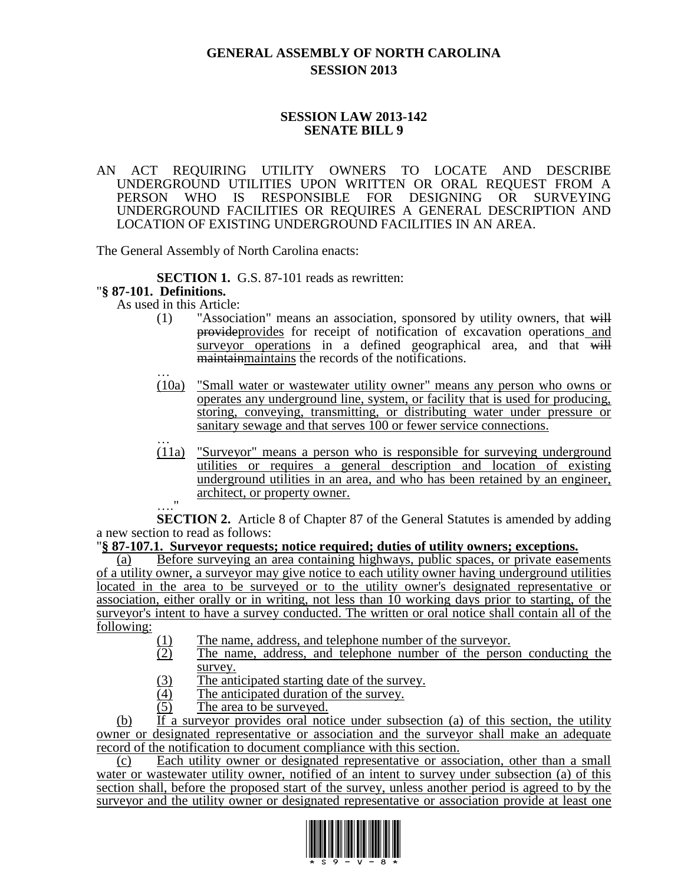## **GENERAL ASSEMBLY OF NORTH CAROLINA SESSION 2013**

## **SESSION LAW 2013-142 SENATE BILL 9**

AN ACT REQUIRING UTILITY OWNERS TO LOCATE AND DESCRIBE UNDERGROUND UTILITIES UPON WRITTEN OR ORAL REQUEST FROM A PERSON WHO IS RESPONSIBLE FOR DESIGNING OR SURVEYING UNDERGROUND FACILITIES OR REQUIRES A GENERAL DESCRIPTION AND LOCATION OF EXISTING UNDERGROUND FACILITIES IN AN AREA.

The General Assembly of North Carolina enacts:

**SECTION 1.** G.S. 87-101 reads as rewritten:

## "**§ 87-101. Definitions.**

As used in this Article:

- (1) "Association" means an association, sponsored by utility owners, that will provideprovides for receipt of notification of excavation operations and surveyor operations in a defined geographical area, and that will maintainmaintains the records of the notifications.
- … (10a) "Small water or wastewater utility owner" means any person who owns or operates any underground line, system, or facility that is used for producing, storing, conveying, transmitting, or distributing water under pressure or sanitary sewage and that serves 100 or fewer service connections.
- … (11a) "Surveyor" means a person who is responsible for surveying underground utilities or requires a general description and location of existing underground utilities in an area, and who has been retained by an engineer, architect, or property owner. …."

**SECTION 2.** Article 8 of Chapter 87 of the General Statutes is amended by adding a new section to read as follows:

## "**§ 87-107.1. Surveyor requests; notice required; duties of utility owners; exceptions.**

(a) Before surveying an area containing highways, public spaces, or private easements of a utility owner, a surveyor may give notice to each utility owner having underground utilities located in the area to be surveyed or to the utility owner's designated representative or association, either orally or in writing, not less than 10 working days prior to starting, of the surveyor's intent to have a survey conducted. The written or oral notice shall contain all of the following:

- $(1)$  The name, address, and telephone number of the surveyor.<br>
The name, address, and telephone number of the person
- The name, address, and telephone number of the person conducting the survey.
- $\frac{(3)}{(4)}$  The anticipated starting date of the survey.<br>
(4) The anticipated duration of the survey.
- $\frac{(4)}{(5)}$  The anticipated duration of the survey.<br>
The area to be surveyed.
- The area to be surveyed.

(b) If a surveyor provides oral notice under subsection (a) of this section, the utility owner or designated representative or association and the surveyor shall make an adequate record of the notification to document compliance with this section.

(c) Each utility owner or designated representative or association, other than a small water or wastewater utility owner, notified of an intent to survey under subsection (a) of this section shall, before the proposed start of the survey, unless another period is agreed to by the surveyor and the utility owner or designated representative or association provide at least one